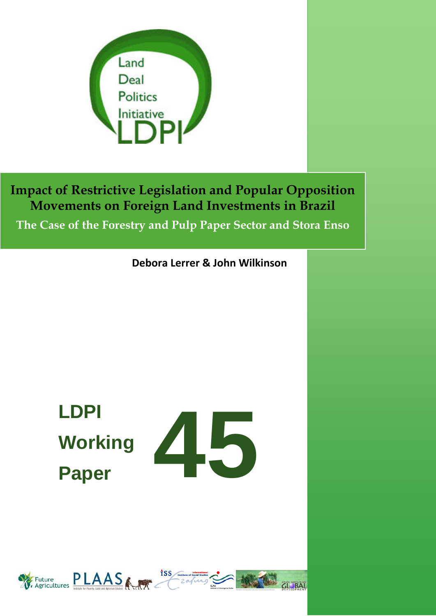

**The Case of the Forestry and Pulp Paper Sector and Stora Enso**

**Debora Lerrer & John Wilkinson**

# **LDPI Working Paper**



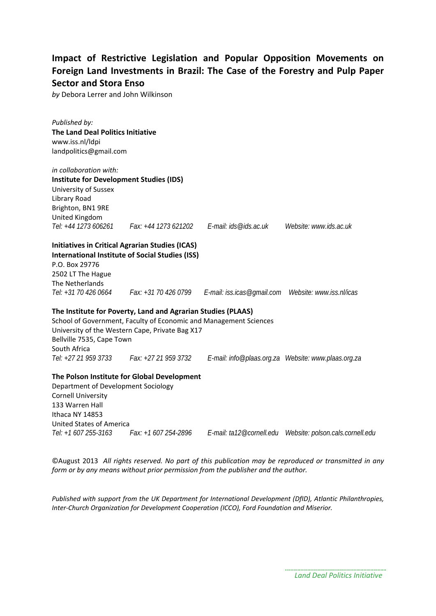## **Impact of Restrictive Legislation and Popular Opposition Movements on Foreign Land Investments in Brazil: The Case of the Forestry and Pulp Paper Sector and Stora Enso**

*by* Debora Lerrer and John Wilkinson

*Published by:* **The Land Deal Politics Initiative** www.iss.nl/ldpi landpolitics@gmail.com *in collaboration with:*  **Institute for Development Studies (IDS)** University of Sussex Library Road Brighton, BN1 9RE United Kingdom *Tel: +44 1273 606261 Fax: +44 1273 621202 E-mail: ids@ids.ac.uk Website: www.ids.ac.uk* **Initiatives in Critical Agrarian Studies (ICAS) International Institute of Social Studies (ISS)** P.O. Box 29776 2502 LT The Hague The Netherlands *Tel: +31 70 426 0664 Fax: +31 70 426 0799 E-mail: iss.icas@gmail.com Website: www.iss.nl/icas* **The Institute for Poverty, Land and Agrarian Studies (PLAAS)** School of Government, Faculty of Economic and Management Sciences University of the Western Cape, Private Bag X17 Bellville 7535, Cape Town South Africa<br>Tel:  $+27,21,959,3733$ *Tel: +27 21 959 3733 Fax: +27 21 959 3732 E-mail: info@plaas.org.za Website: www.plaas.org.za* **The Polson Institute for Global Development** Department of Development Sociology Cornell University 133 Warren Hall Ithaca NY 14853 United States of America

©August 2013 *All rights reserved. No part of this publication may be reproduced or transmitted in any form or by any means without prior permission from the publisher and the author.*

*Tel: +1 607 255-3163 Fax: +1 607 254-2896 E-mail: ta12@cornell.edu Website: polson.cals.cornell.edu*

*Published with support from the UK Department for International Development (DfID), Atlantic Philanthropies, Inter-Church Organization for Development Cooperation (ICCO), Ford Foundation and Miserior.*

*Land Deal Politics Initiative*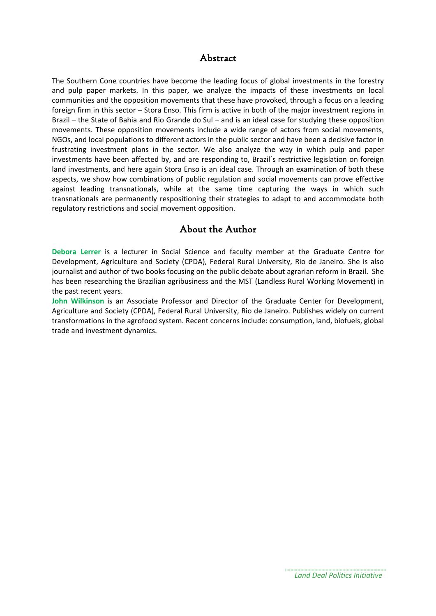## Abstract

The Southern Cone countries have become the leading focus of global investments in the forestry and pulp paper markets. In this paper, we analyze the impacts of these investments on local communities and the opposition movements that these have provoked, through a focus on a leading foreign firm in this sector – Stora Enso. This firm is active in both of the major investment regions in Brazil – the State of Bahia and Rio Grande do Sul – and is an ideal case for studying these opposition movements. These opposition movements include a wide range of actors from social movements, NGOs, and local populations to different actors in the public sector and have been a decisive factor in frustrating investment plans in the sector. We also analyze the way in which pulp and paper investments have been affected by, and are responding to, Brazil´s restrictive legislation on foreign land investments, and here again Stora Enso is an ideal case. Through an examination of both these aspects, we show how combinations of public regulation and social movements can prove effective against leading transnationals, while at the same time capturing the ways in which such transnationals are permanently respositioning their strategies to adapt to and accommodate both regulatory restrictions and social movement opposition.

## About the Author

**Debora Lerrer** is a lecturer in Social Science and faculty member at the Graduate Centre for Development, Agriculture and Society (CPDA), Federal Rural University, Rio de Janeiro. She is also journalist and author of two books focusing on the public debate about agrarian reform in Brazil. She has been researching the Brazilian agribusiness and the MST (Landless Rural Working Movement) in the past recent years.

**John Wilkinson** is an Associate Professor and Director of the Graduate Center for Development, Agriculture and Society (CPDA), Federal Rural University, Rio de Janeiro. Publishes widely on current transformations in the agrofood system. Recent concerns include: consumption, land, biofuels, global trade and investment dynamics.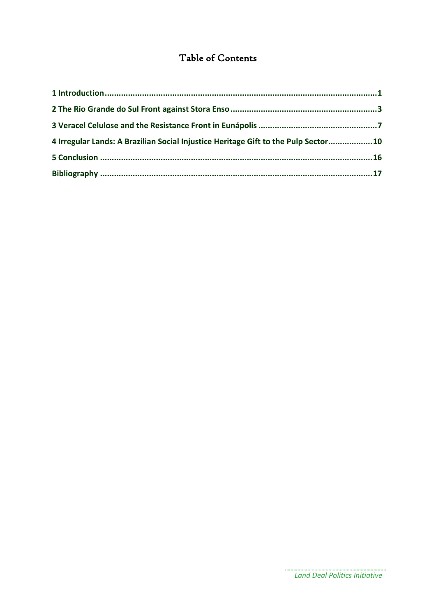## Table of Contents

| 4 Irregular Lands: A Brazilian Social Injustice Heritage Gift to the Pulp Sector10 |  |
|------------------------------------------------------------------------------------|--|
|                                                                                    |  |
|                                                                                    |  |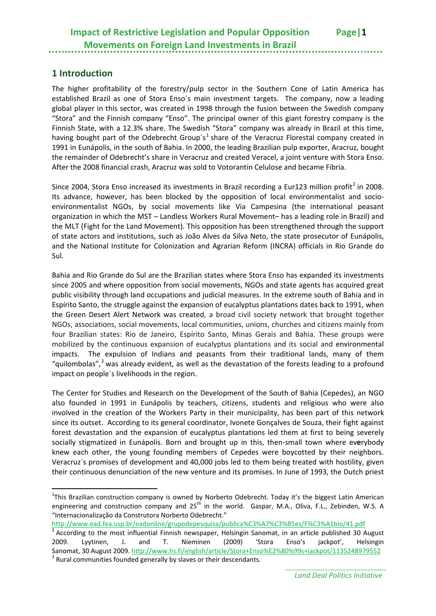## <span id="page-4-0"></span>**1 Introduction**

**.** 

The higher profitability of the forestry/pulp sector in the Southern Cone of Latin America has established Brazil as one of Stora Enso´s main investment targets. The company, now a leading global player in this sector, was created in 1998 through the fusion between the Swedish company "Stora" and the Finnish company "Enso". The principal owner of this giant forestry company is the Finnish State, with a 12.3% share. The Swedish "Stora" company was already in Brazil at this time, having bought part of the Odebrecht Group's<sup>[1](#page-4-1)</sup> share of the Veracruz Florestal company created in 1991 in Eunápolis, in the south of Bahia. In 2000, the leading Brazilian pulp exporter, Aracruz, bought the remainder of Odebrecht's share in Veracruz and created Veracel, a joint venture with Stora Enso. After the 2008 financial crash, Aracruz was sold to Votorantin Celulose and became Fibria.

Since [2](#page-4-2)004, Stora Enso increased its investments in Brazil recording a Eur123 million profit<sup>2</sup> in 2008. Its advance, however, has been blocked by the opposition of local environmentalist and socioenvironmentalist NGOs, by social movements like Via Campesina (the international peasant organization in which the MST – Landless Workers Rural Movement– has a leading role in Brazil) and the MLT (Fight for the Land Movement). This opposition has been strengthened through the support of state actors and institutions, such as João Alves da Silva Neto, the state prosecutor of Eunápolis, and the National Institute for Colonization and Agrarian Reform (INCRA) officials in Rio Grande do Sul.

Bahia and Rio Grande do Sul are the Brazilian states where Stora Enso has expanded its investments since 2005 and where opposition from social movements, NGOs and state agents has acquired great public visibility through land occupations and judicial measures. In the extreme south of Bahia and in Espírito Santo, the struggle against the expansion of eucalyptus plantations dates back to 1991, when the Green Desert Alert Network was created, a broad civil society network that brought together NGOs, associations, social movements, local communities, unions, churches and citizens mainly from four Brazilian states: Rio de Janeiro, Espírito Santo, Minas Gerais and Bahia. These groups were mobilized by the continuous expansion of eucalyptus plantations and its social and environmental impacts. The expulsion of Indians and peasants from their traditional lands, many of them "quilombolas",<sup>[3](#page-4-3)</sup> was already evident, as well as the devastation of the forests leading to a profound impact on people´s livelihoods in the region.

The Center for Studies and Research on the Development of the South of Bahia (Cepedes), an NGO also founded in 1991 in Eunápolis by teachers, citizens, students and religious who were also involved in the creation of the Workers Party in their municipality, has been part of this network since its outset. According to its general coordinator, Ivonete Gonçalves de Souza, their fight against forest devastation and the expansion of eucalyptus plantations led them at first to being severely socially stigmatized in Eunápolis. Born and brought up in this, then-small town where ev**e**rybody knew each other, the young founding members of Cepedes were boycotted by their neighbors. Veracruz´s promises of development and 40,000 jobs led to them being treated with hostility, given their continuous denunciation of the new venture and its promises. In June of 1993, the Dutch priest

<http://www.ead.fea.usp.br/eadonline/grupodepesquisa/publica%C3%A7%C3%B5es/F%C3%A1bio/41.pdf>

<span id="page-4-1"></span><sup>&</sup>lt;sup>1</sup>This Brazilian construction company is owned by Norberto Odebrecht. Today it's the biggest Latin American engineering and construction company and 25<sup>th</sup> in the world. Gaspar, M.A., Oliva, F.L., Zebinden, W.S. A "Internacionalização da Construtora Norberto Odebrecht."

<span id="page-4-3"></span><span id="page-4-2"></span><sup>2</sup> According to the most influential Finnish newspaper, Helsingin Sanomat, in an article published 30 August 2009. Lyytinen, J. and T. Nieminen (2009) 'Stora Enso's jackpot', Helsingin Sanomat, 30 August 2009. <http://www.hs.fi/english/article/Stora+Enso%E2%80%99s+jackpot/1135248979552><br><sup>3</sup> Rural communities founded generally by slaves or their descendants.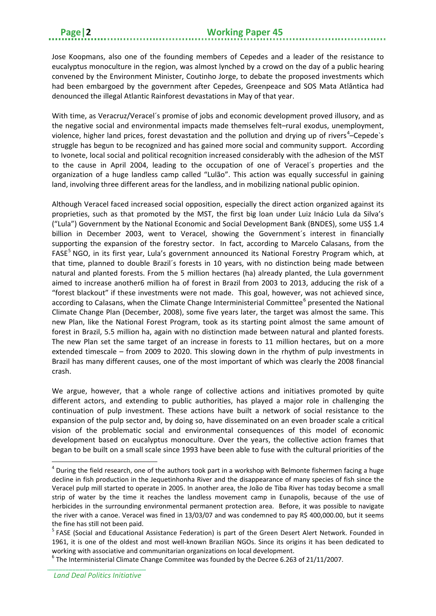Jose Koopmans, also one of the founding members of Cepedes and a leader of the resistance to eucalyptus monoculture in the region, was almost lynched by a crowd on the day of a public hearing convened by the Environment Minister, Coutinho Jorge, to debate the proposed investments which had been embargoed by the government after Cepedes, Greenpeace and SOS Mata Atlântica had denounced the illegal Atlantic Rainforest devastations in May of that year.

With time, as Veracruz/Veracel´s promise of jobs and economic development proved illusory, and as the negative social and environmental impacts made themselves felt–rural exodus, unemployment, violence, higher land prices, forest devastation and the pollution and drying up of rivers<sup>[4](#page-5-0)</sup>-Cepede's struggle has begun to be recognized and has gained more social and community support. According to Ivonete, local social and political recognition increased considerably with the adhesion of the MST to the cause in April 2004, leading to the occupation of one of Veracel´s properties and the organization of a huge landless camp called "Lulão". This action was equally successful in gaining land, involving three different areas for the landless, and in mobilizing national public opinion.

Although Veracel faced increased social opposition, especially the direct action organized against its proprieties, such as that promoted by the MST, the first big loan under Luiz Inácio Lula da Silva's ("Lula") Government by the National Economic and Social Development Bank (BNDES), some US\$ 1.4 billion in December 2003, went to Veracel, showing the Government's interest in financially supporting the expansion of the forestry sector. In fact, according to Marcelo Calasans, from the FASE<sup>[5](#page-5-1)</sup> NGO, in its first year, Lula's government announced its National Forestry Program which, at that time, planned to double Brazil´s forests in 10 years, with no distinction being made between natural and planted forests. From the 5 million hectares (ha) already planted, the Lula government aimed to increase another6 million ha of forest in Brazil from 2003 to 2013, adducing the risk of a "forest blackout" if these investments were not made. This goal, however, was not achieved since, according to Calasans, when the Climate Change Interministerial Committee<sup>[6](#page-5-2)</sup> presented the National Climate Change Plan (December, 2008), some five years later, the target was almost the same. This new Plan, like the National Forest Program, took as its starting point almost the same amount of forest in Brazil, 5.5 million ha, again with no distinction made between natural and planted forests. The new Plan set the same target of an increase in forests to 11 million hectares, but on a more extended timescale – from 2009 to 2020. This slowing down in the rhythm of pulp investments in Brazil has many different causes, one of the most important of which was clearly the 2008 financial crash.

We argue, however, that a whole range of collective actions and initiatives promoted by quite different actors, and extending to public authorities, has played a major role in challenging the continuation of pulp investment. These actions have built a network of social resistance to the expansion of the pulp sector and, by doing so, have disseminated on an even broader scale a critical vision of the problematic social and environmental consequences of this model of economic development based on eucalyptus monoculture. Over the years, the collective action frames that began to be built on a small scale since 1993 have been able to fuse with the cultural priorities of the

<span id="page-5-0"></span> $4$  During the field research, one of the authors took part in a workshop with Belmonte fishermen facing a huge decline in fish production in the Jequetinhonha River and the disappearance of many species of fish since the Veracel pulp mill started to operate in 2005. In another area, the João de Tiba River has today become a small strip of water by the time it reaches the landless movement camp in Eunapolis, because of the use of herbicides in the surrounding environmental permanent protection area. Before, it was possible to navigate the river with a canoe. Veracel was fined in 13/03/07 and was condemned to pay R\$ 400,000.00, but it seems the fine has still not been paid.

<span id="page-5-1"></span><sup>&</sup>lt;sup>5</sup> FASE (Social and Educational Assistance Federation) is part of the Green Desert Alert Network. Founded in 1961, it is one of the oldest and most well-known Brazilian NGOs. Since its origins it has been dedicated to working with associative and communitarian organizations on local development.<br><sup>6</sup> The Interministerial Climate Change Commitee was founded by the Decree 6.263 of 21/11/2007.

<span id="page-5-2"></span>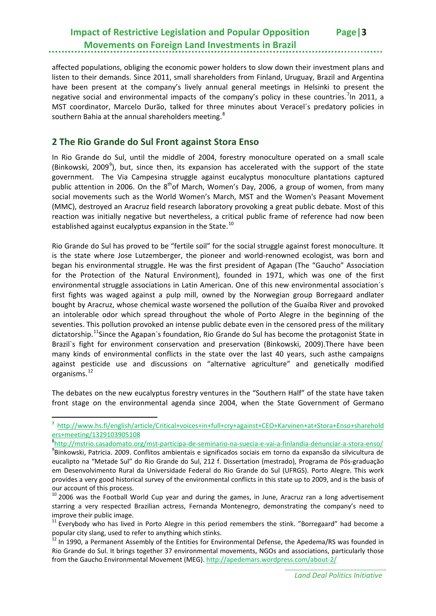affected populations, obliging the economic power holders to slow down their investment plans and listen to their demands. Since 2011, small shareholders from Finland, Uruguay, Brazil and Argentina have been present at the company's lively annual general meetings in Helsinki to present the negative social and environmental impacts of the company's policy in these countries.<sup>[7](#page-6-1)</sup>In 2011, a MST coordinator, Marcelo Durão, talked for three minutes about Veracel´s predatory policies in southern Bahia at the annual shareholders meeting. ${}^{8}$  ${}^{8}$  ${}^{8}$ 

## <span id="page-6-0"></span>**2 The Rio Grande do Sul Front against Stora Enso**

**.** 

In Rio Grande do Sul, until the middle of 2004, forestry monoculture operated on a small scale (Binkowski, 200[9](#page-6-3)<sup>9</sup>), but, since then, its expansion has accelerated with the support of the state government. The Via Campesina struggle against eucalyptus monoculture plantations captured public attention in 2006. On the  $8<sup>th</sup>$ of March, Women's Day, 2006, a group of women, from many social movements such as the World Women's March, MST and the Women's Peasant Movement (MMC), destroyed an Aracruz field research laboratory provoking a great public debate. Most of this reaction was initially negative but nevertheless, a critical public frame of reference had now been established against eucalyptus expansion in the State.<sup>[10](#page-6-4)</sup>

Rio Grande do Sul has proved to be "fertile soil" for the social struggle against forest monoculture. It is the state where Jose Lutzemberger, the pioneer and world-renowned ecologist, was born and began his environmental struggle. He was the first president of Agapan (The "Gaucho" Association for the Protection of the Natural Environment), founded in 1971, which was one of the first environmental struggle associations in Latin American. One of this new environmental association´s first fights was waged against a pulp mill, owned by the Norwegian group Borregaard andlater bought by Aracruz, whose chemical waste worsened the pollution of the Guaíba River and provoked an intolerable odor which spread throughout the whole of Porto Alegre in the beginning of the seventies. This pollution provoked an intense public debate even in the censored press of the military dictatorship.<sup>11</sup>Since the Agapan's foundation, Rio Grande do Sul has become the protagonist State in Brazil`s fight for environment conservation and preservation (Binkowski, 2009).There have been many kinds of environmental conflicts in the state over the last 40 years, such asthe campaigns against pesticide use and discussions on "alternative agriculture" and genetically modified organisms. [12](#page-6-6)

The debates on the new eucalyptus forestry ventures in the "Southern Half" of the state have taken front stage on the environmental agenda since 2004, when the State Government of Germano

<span id="page-6-1"></span><sup>7</sup> [http://www.hs.fi/english/article/Critical+voices+in+full+cry+against+CEO+Karvinen+at+Stora+Enso+sharehold](http://www.hs.fi/english/article/Critical+voices+in+full+cry+against+CEO+Karvinen+at+Stora+Enso+shareholders+meeting/1329103905108) [ers+meeting/1329103905108](http://www.hs.fi/english/article/Critical+voices+in+full+cry+against+CEO+Karvinen+at+Stora+Enso+shareholders+meeting/1329103905108)

<span id="page-6-3"></span><span id="page-6-2"></span><sup>&</sup>lt;sup>8</sup><http://mstrio.casadomato.org/mst-participa-de-seminario-na-suecia-e-vai-a-finlandia-denunciar-a-stora-enso/><br><sup>9</sup>Diploqueli, Patricia, 2000, Conflitos ambientais a significadas sociais am terna da avenneão da silvicultura Binkowski, Patricia. 2009. Conflitos ambientais e significados sociais em torno da expansão da silvicultura de eucalipto na "Metade Sul" do Rio Grande do Sul, 212 f. Dissertation (mestrado), Programa de Pós-graduação em Desenvolvimento Rural da Universidade Federal do Rio Grande do Sul (UFRGS). Porto Alegre. This work provides a very good historical survey of the environmental conflicts in this state up to 2009, and is the basis of our account of this process.

<span id="page-6-4"></span> $10$  2006 was the Football World Cup year and during the games, in June, Aracruz ran a long advertisement starring a very respected Brazilian actress, Fernanda Montenegro, demonstrating the company's need to improve their public image.

<span id="page-6-5"></span> $11$  Everybody who has lived in Porto Alegre in this period remembers the stink. "Borregaard" had become a popular city slang, used to refer to anything which stinks.

<span id="page-6-6"></span><sup>&</sup>lt;sup>12</sup> In 1990, a Permanent Assembly of the Entities for Environmental Defense, the Apedema/RS was founded in Rio Grande do Sul. It brings together 37 environmental movements, NGOs and associations, particularly those from the Gaucho Environmental Movement (MEG).<http://apedemars.wordpress.com/about-2/>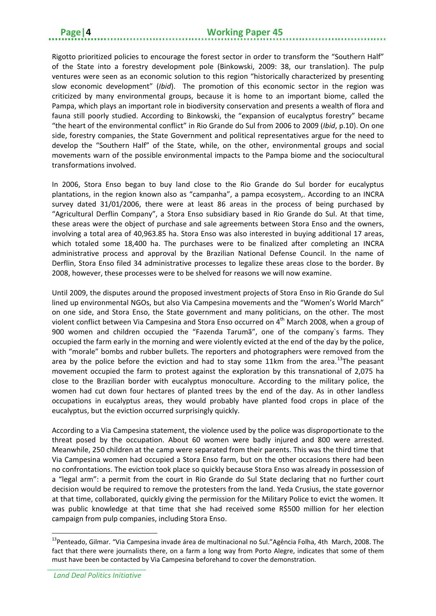Rigotto prioritized policies to encourage the forest sector in order to transform the "Southern Half" of the State into a forestry development pole (Binkowski, 2009: 38, our translation). The pulp ventures were seen as an economic solution to this region "historically characterized by presenting slow economic development" (*Ibid*). The promotion of this economic sector in the region was criticized by many environmental groups, because it is home to an important biome, called the Pampa, which plays an important role in biodiversity conservation and presents a wealth of flora and fauna still poorly studied. According to Binkowski, the "expansion of eucalyptus forestry" became "the heart of the environmental conflict" in Rio Grande do Sul from 2006 to 2009 (*Ibid*, p.10). On one side, forestry companies, the State Government and political representatives argue for the need to develop the "Southern Half" of the State, while, on the other, environmental groups and social movements warn of the possible environmental impacts to the Pampa biome and the sociocultural transformations involved.

In 2006, Stora Enso began to buy land close to the Rio Grande do Sul border for eucalyptus plantations, in the region known also as "campanha", a pampa ecosystem,. According to an INCRA survey dated 31/01/2006, there were at least 86 areas in the process of being purchased by "Agricultural Derflin Company", a Stora Enso subsidiary based in Rio Grande do Sul. At that time, these areas were the object of purchase and sale agreements between Stora Enso and the owners, involving a total area of 40,963.85 ha. Stora Enso was also interested in buying additional 17 areas, which totaled some 18,400 ha. The purchases were to be finalized after completing an INCRA administrative process and approval by the Brazilian National Defense Council. In the name of Derflin, Stora Enso filed 34 administrative processes to legalize these areas close to the border. By 2008, however, these processes were to be shelved for reasons we will now examine.

Until 2009, the disputes around the proposed investment projects of Stora Enso in Rio Grande do Sul lined up environmental NGOs, but also Via Campesina movements and the "Women's World March" on one side, and Stora Enso, the State government and many politicians, on the other. The most violent conflict between Via Campesina and Stora Enso occurred on 4<sup>th</sup> March 2008, when a group of 900 women and children occupied the "Fazenda Tarumã", one of the company`s farms. They occupied the farm early in the morning and were violently evicted at the end of the day by the police, with "morale" bombs and rubber bullets. The reporters and photographers were removed from the area by the police before the eviction and had to stay some 11km from the area.<sup>13</sup>The peasant movement occupied the farm to protest against the exploration by this transnational of 2,075 ha close to the Brazilian border with eucalyptus monoculture. According to the military police, the women had cut down four hectares of planted trees by the end of the day. As in other landless occupations in eucalyptus areas, they would probably have planted food crops in place of the eucalyptus, but the eviction occurred surprisingly quickly.

According to a Via Campesina statement, the violence used by the police was disproportionate to the threat posed by the occupation. About 60 women were badly injured and 800 were arrested. Meanwhile, 250 children at the camp were separated from their parents. This was the third time that Via Campesina women had occupied a Stora Enso farm, but on the other occasions there had been no confrontations. The eviction took place so quickly because Stora Enso was already in possession of a "legal arm": a permit from the court in Rio Grande do Sul State declaring that no further court decision would be required to remove the protesters from the land. Yeda Crusius, the state governor at that time, collaborated, quickly giving the permission for the Military Police to evict the women. It was public knowledge at that time that she had received some R\$500 million for her election campaign from pulp companies, including Stora Enso.

<span id="page-7-0"></span><sup>&</sup>lt;sup>13</sup>Penteado, Gilmar. "Via Campesina invade área de multinacional no Sul."Agência Folha, 4th March, 2008. The fact that there were journalists there, on a farm a long way from Porto Alegre, indicates that some of them must have been be contacted by Via Campesina beforehand to cover the demonstration.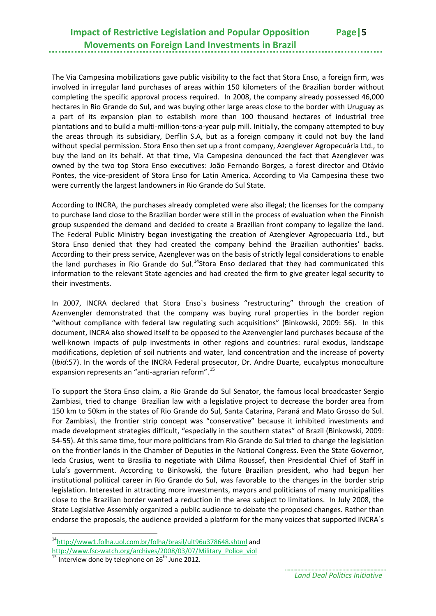The Via Campesina mobilizations gave public visibility to the fact that Stora Enso, a foreign firm, was involved in irregular land purchases of areas within 150 kilometers of the Brazilian border without completing the specific approval process required. In 2008, the company already possessed 46,000 hectares in Rio Grande do Sul, and was buying other large areas close to the border with Uruguay as a part of its expansion plan to establish more than 100 thousand hectares of industrial tree plantations and to build a multi-million-tons-a-year pulp mill. Initially, the company attempted to buy the areas through its subsidiary, Derflin S.A, but as a foreign company it could not buy the land without special permission. Stora Enso then set up a front company, Azenglever Agropecuária Ltd., to buy the land on its behalf. At that time, Via Campesina denounced the fact that Azenglever was owned by the two top Stora Enso executives: João Fernando Borges, a forest director and Otávio Pontes, the vice-president of Stora Enso for Latin America. According to Via Campesina these two were currently the largest landowners in Rio Grande do Sul State.

According to INCRA, the purchases already completed were also illegal; the licenses for the company to purchase land close to the Brazilian border were still in the process of evaluation when the Finnish group suspended the demand and decided to create a Brazilian front company to legalize the land. The Federal Public Ministry began investigating the creation of Azenglever Agropecuaria Ltd., but Stora Enso denied that they had created the company behind the Brazilian authorities' backs. According to their press service, Azenglever was on the basis of strictly legal considerations to enable the land purchases in Rio Grande do Sul.<sup>14</sup>Stora Enso declared that they had communicated this information to the relevant State agencies and had created the firm to give greater legal security to their investments.

In 2007, INCRA declared that Stora Enso`s business "restructuring" through the creation of Azenvengler demonstrated that the company was buying rural properties in the border region "without compliance with federal law regulating such acquisitions" (Binkowski, 2009: 56). In this document, INCRA also showed itself to be opposed to the Azenvengler land purchases because of the well-known impacts of pulp investments in other regions and countries: rural exodus, landscape modifications, depletion of soil nutrients and water, land concentration and the increase of poverty (*Ibid*:57). In the words of the INCRA Federal prosecutor, Dr. Andre Duarte, eucalyptus monoculture expansion represents an "anti-agrarian reform".<sup>[15](#page-8-1)</sup>

To support the Stora Enso claim, a Rio Grande do Sul Senator, the famous local broadcaster Sergio Zambiasi, tried to change Brazilian law with a legislative project to decrease the border area from 150 km to 50km in the states of Rio Grande do Sul, Santa Catarina, Paraná and Mato Grosso do Sul. For Zambiasi, the frontier strip concept was "conservative" because it inhibited investments and made development strategies difficult, "especially in the southern states" of Brazil (Binkowski, 2009: 54-55). At this same time, four more politicians from Rio Grande do Sul tried to change the legislation on the frontier lands in the Chamber of Deputies in the National Congress. Even the State Governor, Ieda Crusius, went to Brasilia to negotiate with Dilma Roussef, then Presidential Chief of Staff in Lula's government. According to Binkowski, the future Brazilian president, who had begun her institutional political career in Rio Grande do Sul, was favorable to the changes in the border strip legislation. Interested in attracting more investments, mayors and politicians of many municipalities close to the Brazilian border wanted a reduction in the area subject to limitations. In July 2008, the State Legislative Assembly organized a public audience to debate the proposed changes. Rather than endorse the proposals, the audience provided a platform for the many voices that supported INCRA`s

<span id="page-8-0"></span><sup>&</sup>lt;sup>14</sup>http://www1.folha.uol.com.br/folha/brasil/ult96u378648.shtml and<br>http://www.fsc-watch.org/archives/2008/03/07/Military Police viol  $\overline{a}$ 

<span id="page-8-1"></span> $\frac{15}{15}$  Interview done by telephone on 26<sup>th</sup> June 2012.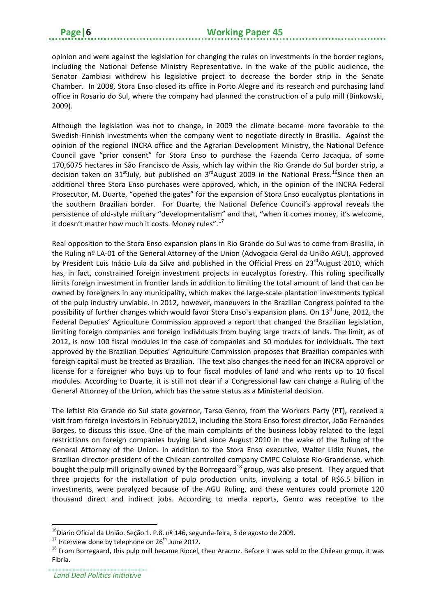opinion and were against the legislation for changing the rules on investments in the border regions, including the National Defense Ministry Representative. In the wake of the public audience, the Senator Zambiasi withdrew his legislative project to decrease the border strip in the Senate Chamber. In 2008, Stora Enso closed its office in Porto Alegre and its research and purchasing land office in Rosario do Sul, where the company had planned the construction of a pulp mill (Binkowski, 2009).

Although the legislation was not to change, in 2009 the climate became more favorable to the Swedish-Finnish investments when the company went to negotiate directly in Brasilia. Against the opinion of the regional INCRA office and the Agrarian Development Ministry, the National Defence Council gave "prior consent" for Stora Enso to purchase the Fazenda Cerro Jacaqua, of some 170,6075 hectares in São Francisco de Assis, which lay within the Rio Grande do Sul border strip, a decision taken on 31<sup>st</sup>July, but published on 3<sup>rd</sup>August 2009 in the National Press.<sup>16</sup>Since then an additional three Stora Enso purchases were approved, which, in the opinion of the INCRA Federal Prosecutor, M. Duarte, "opened the gates" for the expansion of Stora Enso eucalyptus plantations in the southern Brazilian border. For Duarte, the National Defence Council's approval reveals the persistence of old-style military "developmentalism" and that, "when it comes money, it's welcome, it doesn't matter how much it costs. Money rules".<sup>[17](#page-9-1)</sup>

Real opposition to the Stora Enso expansion plans in Rio Grande do Sul was to come from Brasilia, in the Ruling nº LA-01 of the General Attorney of the Union (Advogacia Geral da União AGU), approved by President Luis Inácio Lula da Silva and published in the Official Press on 23<sup>rd</sup>August 2010, which has, in fact, constrained foreign investment projects in eucalyptus forestry. This ruling specifically limits foreign investment in frontier lands in addition to limiting the total amount of land that can be owned by foreigners in any municipality, which makes the large-scale plantation investments typical of the pulp industry unviable. In 2012, however, maneuvers in the Brazilian Congress pointed to the possibility of further changes which would favor Stora Enso's expansion plans. On 13<sup>th</sup>June, 2012, the Federal Deputies' Agriculture Commission approved a report that changed the Brazilian legislation, limiting foreign companies and foreign individuals from buying large tracts of lands. The limit, as of 2012, is now 100 fiscal modules in the case of companies and 50 modules for individuals. The text approved by the Brazilian Deputies' Agriculture Commission proposes that Brazilian companies with foreign capital must be treated as Brazilian. The text also changes the need for an INCRA approval or license for a foreigner who buys up to four fiscal modules of land and who rents up to 10 fiscal modules. According to Duarte, it is still not clear if a Congressional law can change a Ruling of the General Attorney of the Union, which has the same status as a Ministerial decision.

The leftist Rio Grande do Sul state governor, Tarso Genro, from the Workers Party (PT), received a visit from foreign investors in February2012, including the Stora Enso forest director, João Fernandes Borges, to discuss this issue. One of the main complaints of the business lobby related to the legal restrictions on foreign companies buying land since August 2010 in the wake of the Ruling of the General Attorney of the Union. In addition to the Stora Enso executive, Walter Lidio Nunes, the Brazilian director-president of the Chilean controlled company CMPC Celulose Rio-Grandense, which bought the pulp mill originally owned by the Borregaard<sup>[18](#page-9-2)</sup> group, was also present. They argued that three projects for the installation of pulp production units, involving a total of R\$6.5 billion in investments, were paralyzed because of the AGU Ruling, and these ventures could promote 120 thousand direct and indirect jobs. According to media reports, Genro was receptive to the

<span id="page-9-2"></span><span id="page-9-1"></span>

<span id="page-9-0"></span><sup>&</sup>lt;sup>16</sup>Diário Oficial da União. Seção 1. P.8. nº 146, segunda-feira, 3 de agosto de 2009.<br><sup>17</sup> Interview done by telephone on 26<sup>th</sup> June 2012.<br><sup>18</sup> From Borregaard, this pulp mill became Riocel, then Aracruz. Before it was Fibria.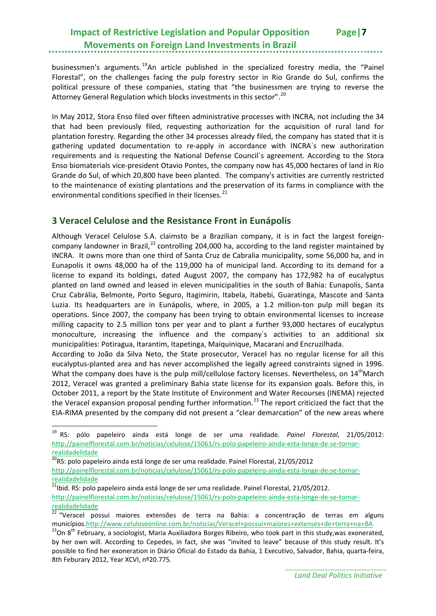businessmen's arguments.<sup>[19](#page-10-1)</sup>An article published in the specialized forestry media, the "Painel Florestal", on the challenges facing the pulp forestry sector in Rio Grande do Sul, confirms the political pressure of these companies, stating that "the businessmen are trying to reverse the Attorney General Regulation which blocks investments in this sector".<sup>[20](#page-10-2)</sup>

In May 2012, Stora Enso filed over fifteen administrative processes with INCRA, not including the 34 that had been previously filed, requesting authorization for the acquisition of rural land for plantation forestry. Regarding the other 34 processes already filed, the company has stated that it is gathering updated documentation to re-apply in accordance with INCRA`s new authorization requirements and is requesting the National Defense Council`s agreement. According to the Stora Enso biomaterials vice-president Otavio Pontes, the company now has 45,000 hectares of land in Rio Grande do Sul, of which 20,800 have been planted. The company's activities are currently restricted to the maintenance of existing plantations and the preservation of its farms in compliance with the environmental conditions specified in their licenses.<sup>[21](#page-10-3)</sup>

## <span id="page-10-0"></span>**3 Veracel Celulose and the Resistance Front in Eunápolis**

Although Veracel Celulose S.A. claimsto be a Brazilian company, it is in fact the largest foreign-company landowner in Brazil,<sup>[22](#page-10-4)</sup> controlling 204,000 ha, according to the land register maintained by INCRA. It owns more than one third of Santa Cruz de Cabralia municipality, some 56,000 ha, and in Eunapolis it owns 48,000 ha of the 119,000 ha of municipal land. According to its demand for a license to expand its holdings, dated August 2007, the company has 172,982 ha of eucalyptus planted on land owned and leased in eleven municipalities in the south of Bahia: Eunapolis, Santa Cruz Cabrália, Belmonte, Porto Seguro, Itagimirin, Itabela, Itabebi, Guaratinga, Mascote and Santa Luzia. Its headquarters are in Eunápolis, where, in 2005, a 1.2 million-ton pulp mill began its operations. Since 2007, the company has been trying to obtain environmental licenses to increase milling capacity to 2.5 million tons per year and to plant a further 93,000 hectares of eucalyptus monoculture, increasing the influence and the company`s activities to an additional six municipalities: Potiragua, Itarantim, Itapetinga, Maiquinique, Macarani and Encruzilhada.

According to João da Silva Neto, the State prosecutor, Veracel has no regular license for all this eucalyptus-planted area and has never accomplished the legally agreed constraints signed in 1996. What the company does have is the pulp mill/cellulose factory licenses. Nevertheless, on 14<sup>th</sup>March 2012, Veracel was granted a preliminary Bahia state license for its expansion goals. Before this, in October 2011, a report by the State Institute of Environment and Water Recourses (INEMA) rejected the Veracel expansion proposal pending further information.<sup>[23](#page-10-5)</sup> The report criticized the fact that the EIA-RIMA presented by the company did not present a "clear demarcation" of the new areas where

**.** 

<span id="page-10-3"></span> $21$ bid. RS: polo papeleiro ainda está longe de ser uma realidade. Painel Florestal, 21/05/2012.

<span id="page-10-1"></span><sup>19</sup> RS: pólo papeleiro ainda está longe de ser uma realidade. *Painel Florestal*, 21/05/2012: [http://painelflorestal.com.br/noticias/celulose/15061/rs-polo-papeleiro-ainda-esta-longe-de-se-tornar](http://painelflorestal.com.br/noticias/celulose/15061/rs-polo-papeleiro-ainda-esta-longe-de-se-tornar-realidadelidade)[realidadelidade](http://painelflorestal.com.br/noticias/celulose/15061/rs-polo-papeleiro-ainda-esta-longe-de-se-tornar-realidadelidade)

<span id="page-10-2"></span> $20$ RS: polo papeleiro ainda está longe de ser uma realidade. Painel Florestal, 21/05/2012

[http://painelflorestal.com.br/noticias/celulose/15061/rs-polo-papeleiro-ainda-esta-longe-de-se-tornar](http://painelflorestal.com.br/noticias/celulose/15061/rs-polo-papeleiro-ainda-esta-longe-de-se-tornar-realidadelidade)[realidadelidade](http://painelflorestal.com.br/noticias/celulose/15061/rs-polo-papeleiro-ainda-esta-longe-de-se-tornar-realidadelidade)

[http://painelflorestal.com.br/noticias/celulose/15061/rs-polo-papeleiro-ainda-esta-longe-de-se-tornar](http://painelflorestal.com.br/noticias/celulose/15061/rs-polo-papeleiro-ainda-esta-longe-de-se-tornar-realidadelidade)[realidadelidade](http://painelflorestal.com.br/noticias/celulose/15061/rs-polo-papeleiro-ainda-esta-longe-de-se-tornar-realidadelidade)

<span id="page-10-4"></span><sup>&</sup>lt;sup>22</sup> "Veracel possui maiores extensões de terra na Bahia: a concentração de terras em alguns município[s.http://www.celuloseonline.com.br/noticias/Veracel+possui+maiores+extenses+de+terra+na+BA](http://www.celuloseonline.com.br/noticias/Veracel+possui+maiores+extenses+de+terra+na+BA) <sup>23</sup>On 8<sup>th</sup> February, a sociologist, Maria Auxiliadora Borges Ribeiro, who took part in this study,was exonerated,

<span id="page-10-5"></span>by her own will. According to Cepedes, in fact, she was "invited to leave" because of this study result. It's possible to find her exoneration in Diário Oficial do Estado da Bahia, 1 Executivo, Salvador, Bahia, quarta-feira, 8th Feburary 2012, Year XCVI, nº20.775.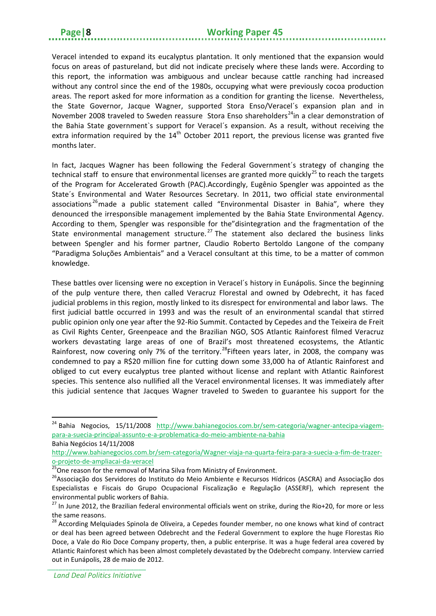Veracel intended to expand its eucalyptus plantation. It only mentioned that the expansion would focus on areas of pastureland, but did not indicate precisely where these lands were. According to this report, the information was ambiguous and unclear because cattle ranching had increased without any control since the end of the 1980s, occupying what were previously cocoa production areas. The report asked for more information as a condition for granting the license. Nevertheless, the State Governor, Jacque Wagner, supported Stora Enso/Veracel´s expansion plan and in November 2008 traveled to Sweden reassure Stora Enso shareholders<sup>[24](#page-11-0)</sup>in a clear demonstration of the Bahia State government`s support for Veracel´s expansion. As a result, without receiving the extra information required by the  $14<sup>th</sup>$  October 2011 report, the previous license was granted five months later.

In fact, Jacques Wagner has been following the Federal Government´s strategy of changing the technical staff to ensure that environmental licenses are granted more quickly<sup>[25](#page-11-1)</sup> to reach the targets of the Program for Accelerated Growth (PAC).Accordingly, Eugênio Spengler was appointed as the State´s Environmental and Water Resources Secretary. In 2011, two official state environmental associations<sup>[26](#page-11-2)</sup> made a public statement called "Environmental Disaster in Bahia", where they denounced the irresponsible management implemented by the Bahia State Environmental Agency. According to them, Spengler was responsible for the"disintegration and the fragmentation of the State environmental management structure.<sup>[27](#page-11-3)</sup> The statement also declared the business links between Spengler and his former partner, Claudio Roberto Bertoldo Langone of the company "Paradigma Soluções Ambientais" and a Veracel consultant at this time, to be a matter of common knowledge.

These battles over licensing were no exception in Veracel´s history in Eunápolis. Since the beginning of the pulp venture there, then called Veracruz Florestal and owned by Odebrecht, it has faced judicial problems in this region, mostly linked to its disrespect for environmental and labor laws. The first judicial battle occurred in 1993 and was the result of an environmental scandal that stirred public opinion only one year after the 92-Rio Summit. Contacted by Cepedes and the Teixeira de Freit as Civil Rights Center, Greenpeace and the Brazilian NGO, SOS Atlantic Rainforest filmed Veracruz workers devastating large areas of one of Brazil's most threatened ecosystems, the Atlantic Rainforest, now covering only 7% of the territory.<sup>[28](#page-11-4)</sup>Fifteen years later, in 2008, the company was condemned to pay a R\$20 million fine for cutting down some 33,000 ha of Atlantic Rainforest and obliged to cut every eucalyptus tree planted without license and replant with Atlantic Rainforest species. This sentence also nullified all the Veracel environmental licenses. It was immediately after this judicial sentence that Jacques Wagner traveled to Sweden to guarantee his support for the

<span id="page-11-0"></span><sup>&</sup>lt;sup>24</sup> Bahia Negocios, 15/11/2008 [http://www.bahianegocios.com.br/sem-categoria/wagner-antecipa-viagem](http://www.bahianegocios.com.br/sem-categoria/wagner-antecipa-viagem-para-a-suecia-principal-assunto-e-a-problematica-do-meio-ambiente-na-bahia)[para-a-suecia-principal-assunto-e-a-problematica-do-meio-ambiente-na-bahia](http://www.bahianegocios.com.br/sem-categoria/wagner-antecipa-viagem-para-a-suecia-principal-assunto-e-a-problematica-do-meio-ambiente-na-bahia)

Bahia Negócios 14/11/2008

[http://www.bahianegocios.com.br/sem-categoria/Wagner-viaja-na-quarta-feira-para-a-suecia-a-fim-de-trazer-](http://www.bahianegocios.com.br/sem-categoria/Wagner-viaja-na-quarta-feira-para-a-suecia-a-fim-de-trazer-o-projeto-de-ampliacai-da-veracel)

<span id="page-11-2"></span><span id="page-11-1"></span>

[o-projeto-de-ampliacai-da-veracel](http://www.bahianegocios.com.br/sem-categoria/Wagner-viaja-na-quarta-feira-para-a-suecia-a-fim-de-trazer-o-projeto-de-ampliacai-da-veracel)<br><sup>25</sup>One reason for the removal of Marina Silva from Ministry of Environment.<br><sup>26</sup>Associação dos Servidores do Instituto do Meio Ambiente e Recursos Hídricos (ASCRA) and Associação dos Especialistas e Fiscais do Grupo Ocupacional Fiscalização e Regulação (ASSERF), which represent the environmental public workers of Bahia.

<span id="page-11-3"></span><sup>27</sup> In June 2012, the Brazilian federal environmental officials went on strike, during the Rio+20, for more or less the same reasons.

<span id="page-11-4"></span><sup>&</sup>lt;sup>28</sup> According Melquiades Spinola de Oliveira, a Cepedes founder member, no one knows what kind of contract or deal has been agreed between Odebrecht and the Federal Government to explore the huge Florestas Rio Doce, a Vale do Rio Doce Company property, then, a public enterprise. It was a huge federal area covered by Atlantic Rainforest which has been almost completely devastated by the Odebrecht company. Interview carried out in Eunápolis, 28 de maio de 2012.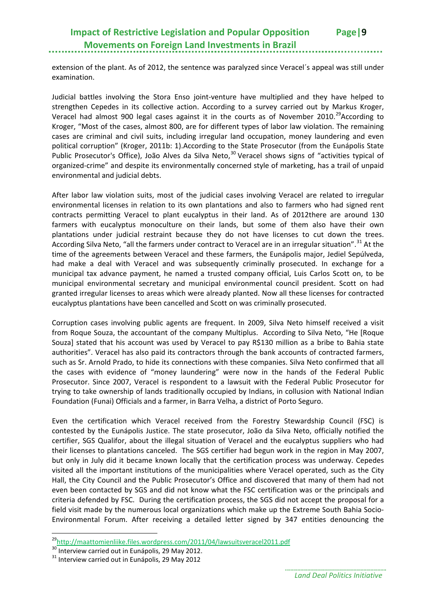extension of the plant. As of 2012, the sentence was paralyzed since Veracel´s appeal was still under examination.

Judicial battles involving the Stora Enso joint-venture have multiplied and they have helped to strengthen Cepedes in its collective action. According to a survey carried out by Markus Kroger, Veracel had almost 900 legal cases against it in the courts as of November 2010.<sup>29</sup>According to Kroger, "Most of the cases, almost 800, are for different types of labor law violation. The remaining cases are criminal and civil suits, including irregular land occupation, money laundering and even political corruption" (Kroger, 2011b: 1).According to the State Prosecutor (from the Eunápolis State Public Prosecutor's Office), João Alves da Silva Neto,<sup>[30](#page-12-1)</sup> Veracel shows signs of "activities typical of organized-crime" and despite its environmentally concerned style of marketing, has a trail of unpaid environmental and judicial debts.

After labor law violation suits, most of the judicial cases involving Veracel are related to irregular environmental licenses in relation to its own plantations and also to farmers who had signed rent contracts permitting Veracel to plant eucalyptus in their land. As of 2012there are around 130 farmers with eucalyptus monoculture on their lands, but some of them also have their own plantations under judicial restraint because they do not have licenses to cut down the trees. According Silva Neto, "all the farmers under contract to Veracel are in an irregular situation".<sup>[31](#page-12-2)</sup> At the time of the agreements between Veracel and these farmers, the Eunápolis major, Jediel Sepúlveda, had make a deal with Veracel and was subsequently criminally prosecuted. In exchange for a municipal tax advance payment, he named a trusted company official, Luis Carlos Scott on, to be municipal environmental secretary and municipal environmental council president. Scott on had granted irregular licenses to areas which were already planted. Now all these licenses for contracted eucalyptus plantations have been cancelled and Scott on was criminally prosecuted.

Corruption cases involving public agents are frequent. In 2009, Silva Neto himself received a visit from Roque Souza, the accountant of the company Multiplus. According to Silva Neto, "He [Roque Souza] stated that his account was used by Veracel to pay R\$130 million as a bribe to Bahia state authorities". Veracel has also paid its contractors through the bank accounts of contracted farmers, such as Sr. Arnold Prado, to hide its connections with these companies. Silva Neto confirmed that all the cases with evidence of "money laundering" were now in the hands of the Federal Public Prosecutor. Since 2007, Veracel is respondent to a lawsuit with the Federal Public Prosecutor for trying to take ownership of lands traditionally occupied by Indians, in collusion with National Indian Foundation (Funai) Officials and a farmer, in Barra Velha, a district of Porto Seguro.

Even the certification which Veracel received from the Forestry Stewardship Council (FSC) is contested by the Eunápolis Justice. The state prosecutor, João da Silva Neto, officially notified the certifier, SGS Qualifor, about the illegal situation of Veracel and the eucalyptus suppliers who had their licenses to plantations canceled. The SGS certifier had begun work in the region in May 2007, but only in July did it became known locally that the certification process was underway. Cepedes visited all the important institutions of the municipalities where Veracel operated, such as the City Hall, the City Council and the Public Prosecutor's Office and discovered that many of them had not even been contacted by SGS and did not know what the FSC certification was or the principals and criteria defended by FSC. During the certification process, the SGS did not accept the proposal for a field visit made by the numerous local organizations which make up the Extreme South Bahia Socio-Environmental Forum. After receiving a detailed letter signed by 347 entities denouncing the

<span id="page-12-0"></span> $^{29}$ http://maattomienliike.files.wordpress.com/2011/04/lawsuitsveracel2011.pdf<br><sup>30</sup> Interview carried out in Eunápolis, 29 May 2012.

<span id="page-12-1"></span>

<span id="page-12-2"></span><sup>&</sup>lt;sup>31</sup> Interview carried out in Eunápolis, 29 May 2012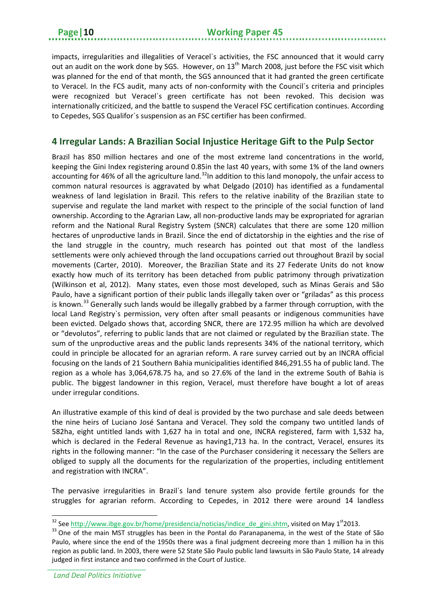impacts, irregularities and illegalities of Veracel`s activities, the FSC announced that it would carry out an audit on the work done by SGS. However, on  $13<sup>th</sup>$  March 2008, just before the FSC visit which was planned for the end of that month, the SGS announced that it had granted the green certificate to Veracel. In the FCS audit, many acts of non-conformity with the Council´s criteria and principles were recognized but Veracel´s green certificate has not been revoked. This decision was internationally criticized, and the battle to suspend the Veracel FSC certification continues. According to Cepedes, SGS Qualifor`s suspension as an FSC certifier has been confirmed.

## <span id="page-13-0"></span>**4 Irregular Lands: A Brazilian Social Injustice Heritage Gift to the Pulp Sector**

Brazil has 850 million hectares and one of the most extreme land concentrations in the world, keeping the Gini Index registering around 0.85in the last 40 years, with some 1% of the land owners accounting for 46% of all the agriculture land.<sup>32</sup>In addition to this land monopoly, the unfair access to common natural resources is aggravated by what Delgado (2010) has identified as a fundamental weakness of land legislation in Brazil. This refers to the relative inability of the Brazilian state to supervise and regulate the land market with respect to the principle of the social function of land ownership. According to the Agrarian Law, all non-productive lands may be expropriated for agrarian reform and the National Rural Registry System (SNCR) calculates that there are some 120 million hectares of unproductive lands in Brazil. Since the end of dictatorship in the eighties and the rise of the land struggle in the country, much research has pointed out that most of the landless settlements were only achieved through the land occupations carried out throughout Brazil by social movements (Carter, 2010). Moreover, the Brazilian State and its 27 Federate Units do not know exactly how much of its territory has been detached from public patrimony through privatization (Wilkinson et al, 2012). Many states, even those most developed, such as Minas Gerais and São Paulo, have a significant portion of their public lands illegally taken over or "griladas" as this process is known.<sup>[33](#page-13-2)</sup> Generally such lands would be illegally grabbed by a farmer through corruption, with the local Land Registry`s permission, very often after small peasants or indigenous communities have been evicted. Delgado shows that, according SNCR, there are 172.95 million ha which are devolved or "devolutos", referring to public lands that are not claimed or regulated by the Brazilian state. The sum of the unproductive areas and the public lands represents 34% of the national territory, which could in principle be allocated for an agrarian reform. A rare survey carried out by an INCRA official focusing on the lands of 21 Southern Bahia municipalities identified 846,291.55 ha of public land. The region as a whole has 3,064,678.75 ha, and so 27.6% of the land in the extreme South of Bahia is public. The biggest landowner in this region, Veracel, must therefore have bought a lot of areas under irregular conditions.

An illustrative example of this kind of deal is provided by the two purchase and sale deeds between the nine heirs of Luciano José Santana and Veracel. They sold the company two untitled lands of 582ha, eight untitled lands with 1,627 ha in total and one, INCRA registered, farm with 1,532 ha, which is declared in the Federal Revenue as having1,713 ha. In the contract, Veracel, ensures its rights in the following manner: "In the case of the Purchaser considering it necessary the Sellers are obliged to supply all the documents for the regularization of the properties, including entitlement and registration with INCRA".

The pervasive irregularities in Brazil´s land tenure system also provide fertile grounds for the struggles for agrarian reform. According to Cepedes, in 2012 there were around 14 landless

<span id="page-13-2"></span><span id="page-13-1"></span><sup>&</sup>lt;sup>32</sup> Se[e http://www.ibge.gov.br/home/presidencia/noticias/indice\\_de\\_gini.shtm,](http://www.ibge.gov.br/home/presidencia/noticias/indice_de_gini.shtm) visited on May 1<sup>st</sup>2013. <sup>33</sup> One of the main MST struggles has been in the Pontal do Paranapanema, in the west of the State of São Paulo, where since the end of the 1950s there was a final judgment decreeing more than 1 million ha in this region as public land. In 2003, there were 52 State São Paulo public land lawsuits in São Paulo State, 14 already judged in first instance and two confirmed in the Court of Justice.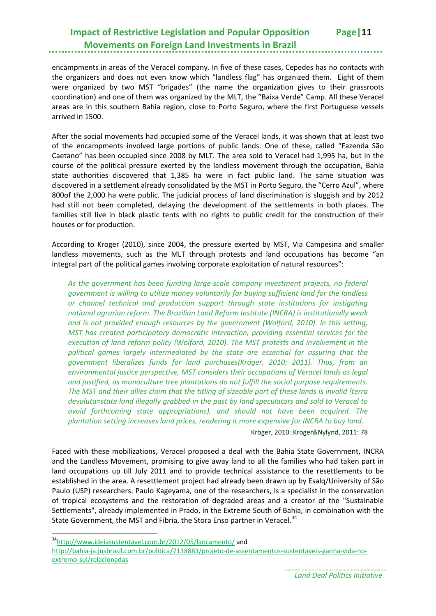encampments in areas of the Veracel company. In five of these cases, Cepedes has no contacts with the organizers and does not even know which "landless flag" has organized them. Eight of them were organized by two MST "brigades" (the name the organization gives to their grassroots coordination) and one of them was organized by the MLT, the "Baixa Verde" Camp. All these Veracel areas are in this southern Bahia region, close to Porto Seguro, where the first Portuguese vessels arrived in 1500.

After the social movements had occupied some of the Veracel lands, it was shown that at least two of the encampments involved large portions of public lands. One of these, called "Fazenda São Caetano" has been occupied since 2008 by MLT. The area sold to Veracel had 1,995 ha, but in the course of the political pressure exerted by the landless movement through the occupation, Bahia state authorities discovered that 1,385 ha were in fact public land. The same situation was discovered in a settlement already consolidated by the MST in Porto Seguro, the "Cerro Azul", where 800of the 2,000 ha were public. The judicial process of land discrimination is sluggish and by 2012 had still not been completed, delaying the development of the settlements in both places. The families still live in black plastic tents with no rights to public credit for the construction of their houses or for production.

According to Kroger (2010), since 2004, the pressure exerted by MST, Via Campesina and smaller landless movements, such as the MLT through protests and land occupations has become "an integral part of the political games involving corporate exploitation of natural resources":

*As the government has been funding large-scale company investment projects, no federal government is willing to utilize money voluntarily for buying sufficient land for the landless or channel technical and production support through state institutions for instigating national agrarian reform. The Brazilian Land Reform Institute (INCRA) is institutionally weak and is not provided enough resources by the government (Wolford, 2010). In this setting, MST has created participatory democratic interaction, providing essential services for the execution of land reform policy (Wolford, 2010). The MST protests and involvement in the political games largely intermediated by the state are essential for assuring that the government liberalizes funds for land purchases(Kröger, 2010; 2011). Thus, from an environmental justice perspective, MST considers their occupations of Veracel lands as legal and justified, as monoculture tree plantations do not fulfill the social purpose requirements. The MST and their allies claim that the titling of sizeable part of these lands is invalid (terra devoluta=state land illegally grabbed in the past by land speculators and sold to Veracel to avoid forthcoming state appropriations), and should not have been acquired. The plantation setting increases land prices, rendering it more expensive for INCRA to buy land.*

Kröger, 2010; Kroger&Nylynd, 2011: 78

Faced with these mobilizations, Veracel proposed a deal with the Bahia State Government, INCRA and the Landless Movement, promising to give away land to all the families who had taken part in land occupations up till July 2011 and to provide technical assistance to the resettlements to be established in the area. A resettlement project had already been drawn up by Esalq/University of São Paulo (USP) researchers. Paulo Kageyama, one of the researchers, is a specialist in the conservation of tropical ecosystems and the restoration of degraded areas and a creator of the "Sustainable Settlements", already implemented in Prado, in the Extreme South of Bahia, in combination with the State Government, the MST and Fibria, the Stora Enso partner in Veracel.<sup>[34](#page-14-0)</sup>

<span id="page-14-0"></span>[<sup>34</sup>http://www.ideiasustentavel.com.br/2012/05/lancamento/](http://www.ideiasustentavel.com.br/2012/05/lancamento/) and

[http://bahia-ja.jusbrasil.com.br/politica/7138883/projeto-de-assentamentos-sustentaveis-ganha-vida-no](http://bahia-ja.jusbrasil.com.br/politica/7138883/projeto-de-assentamentos-sustentaveis-ganha-vida-no-extremo-sul/relacionadas)[extremo-sul/relacionadas](http://bahia-ja.jusbrasil.com.br/politica/7138883/projeto-de-assentamentos-sustentaveis-ganha-vida-no-extremo-sul/relacionadas)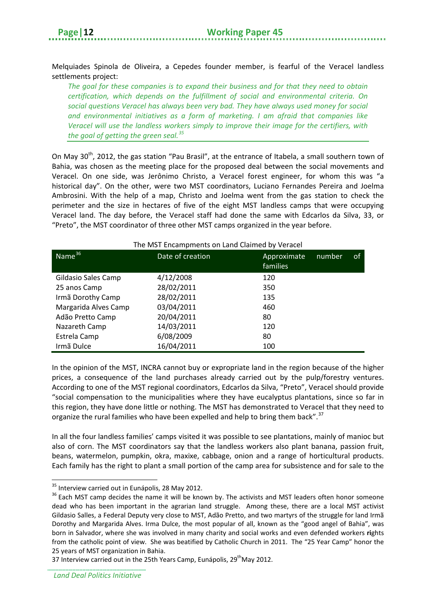Melquiades Spinola de Oliveira, a Cepedes founder member, is fearful of the Veracel landless settlements project:

*The goal for these companies is to expand their business and for that they need to obtain certification, which depends on the fulfillment of social and environmental criteria. On social questions Veracel has always been very bad. They have always used money for social and environmental initiatives as a form of marketing. I am afraid that companies like Veracel will use the landless workers simply to improve their image for the certifiers, with the goal of getting the green seal.[35](#page-15-0)*

On May 30<sup>th</sup>, 2012, the gas station "Pau Brasil", at the entrance of Itabela, a small southern town of Bahia, was chosen as the meeting place for the proposed deal between the social movements and Veracel. On one side, was Jerônimo Christo, a Veracel forest engineer, for whom this was "a historical day". On the other, were two MST coordinators, Luciano Fernandes Pereira and Joelma Ambrosini. With the help of a map, Christo and Joelma went from the gas station to check the perimeter and the size in hectares of five of the eight MST landless camps that were occupying Veracel land. The day before, the Veracel staff had done the same with Edcarlos da Silva, 33, or "Preto", the MST coordinator of three other MST camps organized in the year before.

| The MST Encampments on Land Claimed by Veracel |                  |                         |        |    |
|------------------------------------------------|------------------|-------------------------|--------|----|
| Name <sup>36</sup>                             | Date of creation | Approximate<br>families | number | οf |
| Gildasio Sales Camp                            | 4/12/2008        | 120                     |        |    |
| 25 anos Camp                                   | 28/02/2011       | 350                     |        |    |
| Irmã Dorothy Camp                              | 28/02/2011       | 135                     |        |    |
| Margarida Alves Camp                           | 03/04/2011       | 460                     |        |    |
| Adão Pretto Camp                               | 20/04/2011       | 80                      |        |    |
| Nazareth Camp                                  | 14/03/2011       | 120                     |        |    |
| Estrela Camp                                   | 6/08/2009        | 80                      |        |    |
| Irmã Dulce                                     | 16/04/2011       | 100                     |        |    |

In the opinion of the MST, INCRA cannot buy or expropriate land in the region because of the higher prices, a consequence of the land purchases already carried out by the pulp/forestry ventures. According to one of the MST regional coordinators, Edcarlos da Silva, "Preto", Veracel should provide "social compensation to the municipalities where they have eucalyptus plantations, since so far in this region, they have done little or nothing. The MST has demonstrated to Veracel that they need to organize the rural families who have been expelled and help to bring them back".<sup>[37](#page-15-2)</sup>

In all the four landless families' camps visited it was possible to see plantations, mainly of manioc but also of corn. The MST coordinators say that the landless workers also plant banana, passion fruit, beans, watermelon, pumpkin, okra, maxixe, cabbage, onion and a range of horticultural products. Each family has the right to plant a small portion of the camp area for subsistence and for sale to the

**<sup>.</sup>** 

<span id="page-15-1"></span><span id="page-15-0"></span> $35$  Interview carried out in Eunápolis, 28 May 2012.<br><sup>36</sup> Each MST camp decides the name it will be known by. The activists and MST leaders often honor someone dead who has been important in the agrarian land struggle. Among these, there are a local MST activist Gildasio Salles, a Federal Deputy very close to MST, Adão Pretto, and two martyrs of the struggle for land Irmã Dorothy and Margarida Alves. Irma Dulce, the most popular of all, known as the "good angel of Bahia", was born in Salvador, where she was involved in many charity and social works and even defended workers **ri**ghts from the catholic point of view. She was beatified by Catholic Church in 2011. The "25 Year Camp" honor the 25 years of MST organization in Bahia.

<span id="page-15-2"></span><sup>37</sup> Interview carried out in the 25th Years Camp, Eunápolis, 29<sup>th</sup>May 2012.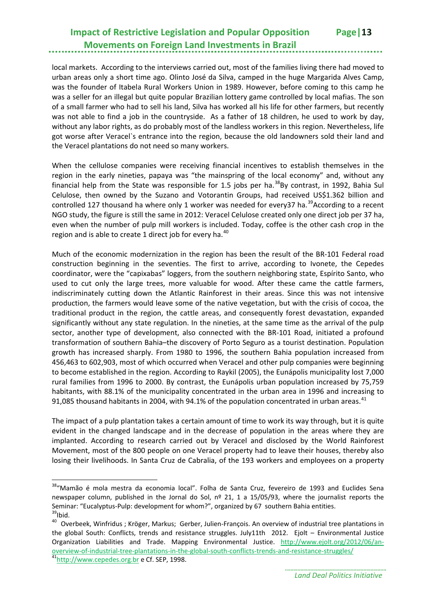local markets. According to the interviews carried out, most of the families living there had moved to urban areas only a short time ago. Olinto José da Silva, camped in the huge Margarida Alves Camp, was the founder of Itabela Rural Workers Union in 1989. However, before coming to this camp he was a seller for an illegal but quite popular Brazilian lottery game controlled by local mafias. The son of a small farmer who had to sell his land, Silva has worked all his life for other farmers, but recently was not able to find a job in the countryside. As a father of 18 children, he used to work by day, without any labor rights, as do probably most of the landless workers in this region. Nevertheless, life got worse after Veracel`s entrance into the region, because the old landowners sold their land and the Veracel plantations do not need so many workers.

When the cellulose companies were receiving financial incentives to establish themselves in the region in the early nineties, papaya was "the mainspring of the local economy" and, without any financial help from the State was responsible for 1.5 jobs per ha.<sup>[38](#page-16-0)</sup>By contrast, in 1992, Bahia Sul Celulose, then owned by the Suzano and Votorantin Groups, had received US\$1.362 billion and controlled 127 thousand ha where only 1 worker was needed for every 37 ha.<sup>39</sup>According to a recent NGO study, the figure is still the same in 2012: Veracel Celulose created only one direct job per 37 ha, even when the number of pulp mill workers is included. Today, coffee is the other cash crop in the region and is able to create 1 direct job for every ha.<sup>[40](#page-16-2)</sup>

Much of the economic modernization in the region has been the result of the BR-101 Federal road construction beginning in the seventies. The first to arrive, according to Ivonete, the Cepedes coordinator, were the "capixabas" loggers, from the southern neighboring state, Espírito Santo, who used to cut only the large trees, more valuable for wood. After these came the cattle farmers, indiscriminately cutting down the Atlantic Rainforest in their areas. Since this was not intensive production, the farmers would leave some of the native vegetation, but with the crisis of cocoa, the traditional product in the region, the cattle areas, and consequently forest devastation, expanded significantly without any state regulation. In the nineties, at the same time as the arrival of the pulp sector, another type of development, also connected with the BR-101 Road, initiated a profound transformation of southern Bahia–the discovery of Porto Seguro as a tourist destination. Population growth has increased sharply. From 1980 to 1996, the southern Bahia population increased from 456,463 to 602,903, most of which occurred when Veracel and other pulp companies were beginning to become established in the region. According to Raykil (2005), the Eunápolis municipality lost 7,000 rural families from 1996 to 2000. By contrast, the Eunápolis urban population increased by 75,759 habitants, with 88.1% of the municipality concentrated in the urban area in 1996 and increasing to 91,085 thousand habitants in 2004, with 94.1% of the population concentrated in urban areas.<sup>[41](#page-16-3)</sup>

The impact of a pulp plantation takes a certain amount of time to work its way through, but it is quite evident in the changed landscape and in the decrease of population in the areas where they are implanted. According to research carried out by Veracel and disclosed by the World Rainforest Movement, most of the 800 people on one Veracel property had to leave their houses, thereby also losing their livelihoods. In Santa Cruz de Cabralia, of the 193 workers and employees on a property

<span id="page-16-0"></span><sup>&</sup>lt;sup>38</sup>"Mamão é mola mestra da economia local". Folha de Santa Cruz, fevereiro de 1993 and Euclides Sena newspaper column, published in the Jornal do Sol, nº 21, 1 a 15/05/93, where the journalist reports the Seminar: "Eucalyptus-Pulp: development for whom?", organized by 67 southern Bahia entities.<br> $39$ Ibid.

<span id="page-16-2"></span><span id="page-16-1"></span><sup>&</sup>lt;sup>40</sup> Overbeek, Winfridus; Kröger, Markus; Gerber, Julien-François. An overview of industrial tree plantations in the global South: Conflicts, trends and resistance struggles. July11th 2012. Ejolt – Environmental Justice Organization Liabilities and Trade. Mapping Environmental Justice. [http://www.ejolt.org/2012/06/an](http://www.ejolt.org/2012/06/an-overview-of-industrial-tree-plantations-in-the-global-south-conflicts-trends-and-resistance-struggles/)[overview-of-industrial-tree-plantations-in-the-global-south-conflicts-trends-and-resistance-struggles/](http://www.ejolt.org/2012/06/an-overview-of-industrial-tree-plantations-in-the-global-south-conflicts-trends-and-resistance-struggles/) [41http://www.cepedes.org.br](http://www.cepedes.org.br/) e Cf. SEP, 1998.

<span id="page-16-3"></span>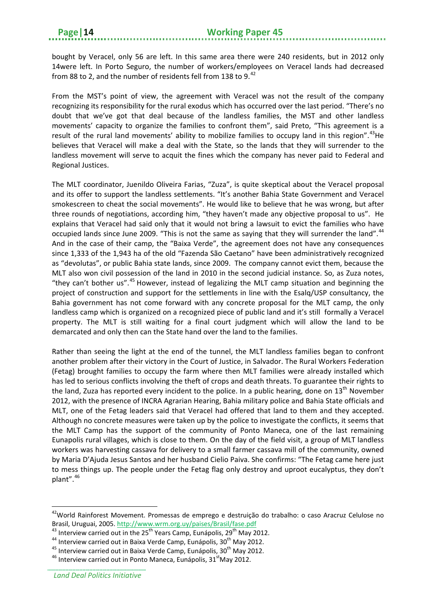bought by Veracel, only 56 are left. In this same area there were 240 residents, but in 2012 only 14were left. In Porto Seguro, the number of workers/employees on Veracel lands had decreased from 88 to 2, and the number of residents fell from 138 to 9.<sup>[42](#page-17-0)</sup>

From the MST's point of view, the agreement with Veracel was not the result of the company recognizing its responsibility for the rural exodus which has occurred over the last period. "There's no doubt that we've got that deal because of the landless families, the MST and other landless movements' capacity to organize the families to confront them", said Preto, "This agreement is a result of the rural land movements' ability to mobilize families to occupy land in this region".<sup>[43](#page-17-1)</sup>He believes that Veracel will make a deal with the State, so the lands that they will surrender to the landless movement will serve to acquit the fines which the company has never paid to Federal and Regional Justices.

The MLT coordinator, Juenildo Oliveira Farias, "Zuza", is quite skeptical about the Veracel proposal and its offer to support the landless settlements. "It's another Bahia State Government and Veracel smokescreen to cheat the social movements". He would like to believe that he was wrong, but after three rounds of negotiations, according him, "they haven't made any objective proposal to us". He explains that Veracel had said only that it would not bring a lawsuit to evict the families who have occupied lands since June 2009. "This is not the same as saying that they will surrender the land".<sup>[44](#page-17-2)</sup> And in the case of their camp, the "Baixa Verde", the agreement does not have any consequences since 1,333 of the 1,943 ha of the old "Fazenda São Caetano" have been administratively recognized as "devolutas", or public Bahia state lands, since 2009. The company cannot evict them, because the MLT also won civil possession of the land in 2010 in the second judicial instance. So, as Zuza notes, "they can't bother us".<sup>[45](#page-17-3)</sup> However, instead of legalizing the MLT camp situation and beginning the project of construction and support for the settlements in line with the Esalq/USP consultancy, the Bahia government has not come forward with any concrete proposal for the MLT camp, the only landless camp which is organized on a recognized piece of public land and it's still formally a Veracel property. The MLT is still waiting for a final court judgment which will allow the land to be demarcated and only then can the State hand over the land to the families.

Rather than seeing the light at the end of the tunnel, the MLT landless families began to confront another problem after their victory in the Court of Justice, in Salvador. The Rural Workers Federation (Fetag) brought families to occupy the farm where then MLT families were already installed which has led to serious conflicts involving the theft of crops and death threats. To guarantee their rights to the land, Zuza has reported every incident to the police. In a public hearing, done on  $13<sup>th</sup>$  November 2012, with the presence of INCRA Agrarian Hearing, Bahia military police and Bahia State officials and MLT, one of the Fetag leaders said that Veracel had offered that land to them and they accepted. Although no concrete measures were taken up by the police to investigate the conflicts, it seems that the MLT Camp has the support of the community of Ponto Maneca, one of the last remaining Eunapolis rural villages, which is close to them. On the day of the field visit, a group of MLT landless workers was harvesting cassava for delivery to a small farmer cassava mill of the community, owned by Maria D'Ajuda Jesus Santos and her husband Cielio Paiva. She confirms: "The Fetag came here just to mess things up. The people under the Fetag flag only destroy and uproot eucalyptus, they don't plant". [46](#page-17-4)

<span id="page-17-0"></span><sup>&</sup>lt;sup>42</sup>World Rainforest Movement. Promessas de emprego e destruição do trabalho: o caso Aracruz Celulose no Brasil, Uruguai, 2005.<http://www.wrm.org.uy/paises/Brasil/fase.pdf><br>
<sup>43</sup> Interview carried out in the 25<sup>th</sup> Years Camp, Eunápolis, 29<sup>th</sup> May 2012.<br>
<sup>44</sup> Interview carried out in Baixa Verde Camp, Eunápolis, 30<sup>th</sup> May

<span id="page-17-1"></span>

<span id="page-17-2"></span>

<span id="page-17-4"></span><span id="page-17-3"></span>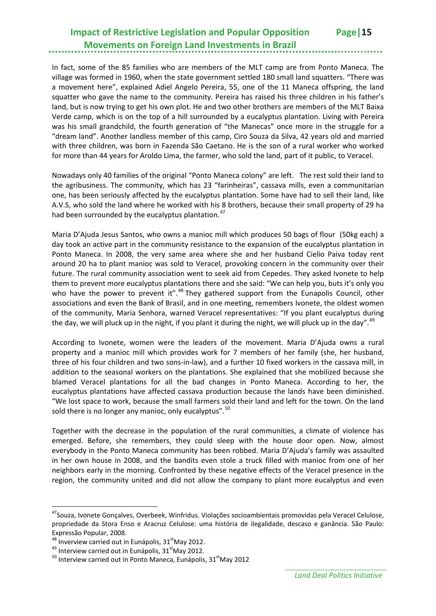In fact, some of the 85 families who are members of the MLT camp are from Ponto Maneca. The village was formed in 1960, when the state government settled 180 small land squatters. "There was a movement here", explained Adiel Angelo Pereira, 55, one of the 11 Maneca offspring, the land squatter who gave the name to the community. Pereira has raised his three children in his father's land, but is now trying to get his own plot. He and two other brothers are members of the MLT Baixa Verde camp, which is on the top of a hill surrounded by a eucalyptus plantation. Living with Pereira was his small grandchild, the fourth generation of "the Manecas" once more in the struggle for a "dream land". Another landless member of this camp, Ciro Souza da Silva, 42 years old and married with three children, was born in Fazenda São Caetano. He is the son of a rural worker who worked for more than 44 years for Aroldo Lima, the farmer, who sold the land, part of it public, to Veracel.

Nowadays only 40 families of the original "Ponto Maneca colony" are left. The rest sold their land to the agribusiness. The community, which has 23 "farinheiras", cassava mills, even a communitarian one, has been seriously affected by the eucalyptus plantation. Some have had to sell their land, like A.V.S, who sold the land where he worked with his 8 brothers, because their small property of 29 ha had been surrounded by the eucalyptus plantation.<sup>[47](#page-18-0)</sup>

Maria D'Ajuda Jesus Santos, who owns a manioc mill which produces 50 bags of flour (50kg each) a day took an active part in the community resistance to the expansion of the eucalyptus plantation in Ponto Maneca. In 2008, the very same area where she and her husband Cielio Paiva today rent around 20 ha to plant manioc was sold to Veracel, provoking concern in the community over their future. The rural community association went to seek aid from Cepedes. They asked Ivonete to help them to prevent more eucalyptus plantations there and she said: "We can help you, buts it's only you who have the power to prevent it".<sup>[48](#page-18-1)</sup> They gathered support from the Eunapolis Council, other associations and even the Bank of Brasil, and in one meeting, remembers Ivonete, the oldest women of the community, Maria Senhora, warned Veracel representatives: "If you plant eucalyptus during the day, we will pluck up in the night, if you plant it during the night, we will pluck up in the day". <sup>[49](#page-18-2)</sup>

According to Ivonete, women were the leaders of the movement. Maria D'Ajuda owns a rural property and a manioc mill which provides work for 7 members of her family (she, her husband, three of his four children and two sons-in-law), and a further 10 fixed workers in the cassava mill, in addition to the seasonal workers on the plantations. She explained that she mobilized because she blamed Veracel plantations for all the bad changes in Ponto Maneca. According to her, the eucalyptus plantations have affected cassava production because the lands have been diminished. "We lost space to work, because the small farmers sold their land and left for the town. On the land sold there is no longer any manioc, only eucalyptus".  $50$ 

Together with the decrease in the population of the rural communities, a climate of violence has emerged. Before, she remembers, they could sleep with the house door open. Now, almost everybody in the Ponto Maneca community has been robbed. Maria D'Ajuda's family was assaulted in her own house in 2008, and the bandits even stole a truck filled with manioc from one of her neighbors early in the morning. Confronted by these negative effects of the Veracel presence in the region, the community united and did not allow the company to plant more eucalyptus and even

<span id="page-18-0"></span><sup>&</sup>lt;sup>47</sup>Souza, Ivonete Gonçalves, Overbeek, Winfridus. Violações socioambientais promovidas pela Veracel Celulose, propriedade da Stora Enso e Aracruz Celulose: uma história de ilegalidade, descaso e ganância. São Paulo: Expressão Popular, 2008.<br><sup>48</sup> Inverview carried out in Eunápolis, 31<sup>st</sup>May 2012.

<span id="page-18-3"></span><span id="page-18-2"></span><span id="page-18-1"></span><sup>&</sup>lt;sup>49</sup> Interview carried out in Eunápolis, 31<sup>st</sup>May 2012.<br><sup>50</sup> Interview carried out in Ponto Maneca, Eunápolis, 31<sup>st</sup>May 2012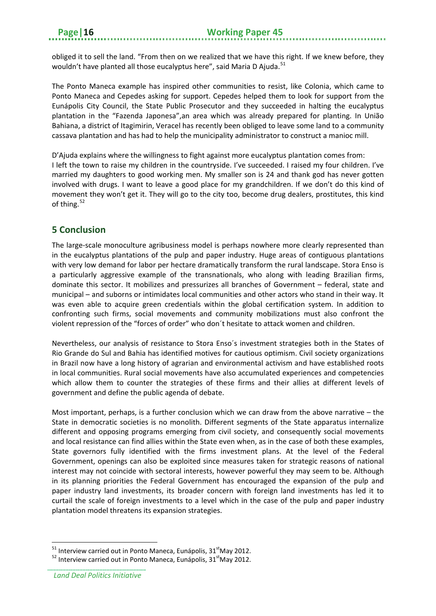obliged it to sell the land. "From then on we realized that we have this right. If we knew before, they wouldn't have planted all those eucalyptus here", said Maria D Ajuda.<sup>[51](#page-19-1)</sup>

The Ponto Maneca example has inspired other communities to resist, like Colonia, which came to Ponto Maneca and Cepedes asking for support. Cepedes helped them to look for support from the Eunápolis City Council, the State Public Prosecutor and they succeeded in halting the eucalyptus plantation in the "Fazenda Japonesa",an area which was already prepared for planting. In União Bahiana, a district of Itagimirin, Veracel has recently been obliged to leave some land to a community cassava plantation and has had to help the municipality administrator to construct a manioc mill.

D'Ajuda explains where the willingness to fight against more eucalyptus plantation comes from: I left the town to raise my children in the countryside. I've succeeded. I raised my four children. I've married my daughters to good working men. My smaller son is 24 and thank god has never gotten involved with drugs. I want to leave a good place for my grandchildren. If we don't do this kind of movement they won't get it. They will go to the city too, become drug dealers, prostitutes, this kind of thing. [52](#page-19-2)

## <span id="page-19-0"></span>**5 Conclusion**

The large-scale monoculture agribusiness model is perhaps nowhere more clearly represented than in the eucalyptus plantations of the pulp and paper industry. Huge areas of contiguous plantations with very low demand for labor per hectare dramatically transform the rural landscape. Stora Enso is a particularly aggressive example of the transnationals, who along with leading Brazilian firms, dominate this sector. It mobilizes and pressurizes all branches of Government – federal, state and municipal – and suborns or intimidates local communities and other actors who stand in their way. It was even able to acquire green credentials within the global certification system. In addition to confronting such firms, social movements and community mobilizations must also confront the violent repression of the "forces of order" who don´t hesitate to attack women and children.

Nevertheless, our analysis of resistance to Stora Enso´s investment strategies both in the States of Rio Grande do Sul and Bahia has identified motives for cautious optimism. Civil society organizations in Brazil now have a long history of agrarian and environmental activism and have established roots in local communities. Rural social movements have also accumulated experiences and competencies which allow them to counter the strategies of these firms and their allies at different levels of government and define the public agenda of debate.

Most important, perhaps, is a further conclusion which we can draw from the above narrative – the State in democratic societies is no monolith. Different segments of the State apparatus internalize different and opposing programs emerging from civil society, and consequently social movements and local resistance can find allies within the State even when, as in the case of both these examples, State governors fully identified with the firms investment plans. At the level of the Federal Government, openings can also be exploited since measures taken for strategic reasons of national interest may not coincide with sectoral interests, however powerful they may seem to be. Although in its planning priorities the Federal Government has encouraged the expansion of the pulp and paper industry land investments, its broader concern with foreign land investments has led it to curtail the scale of foreign investments to a level which in the case of the pulp and paper industry plantation model threatens its expansion strategies.

**<sup>.</sup>** 

<span id="page-19-2"></span><span id="page-19-1"></span><sup>&</sup>lt;sup>51</sup> Interview carried out in Ponto Maneca, Eunápolis, 31<sup>st</sup>May 2012.<br><sup>52</sup> Interview carried out in Ponto Maneca, Eunápolis, 31<sup>st</sup>May 2012.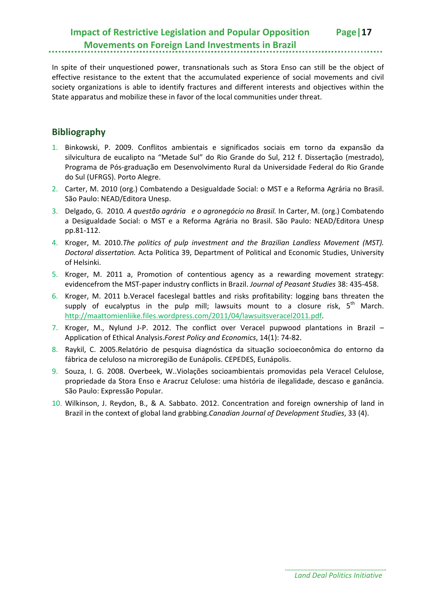In spite of their unquestioned power, transnationals such as Stora Enso can still be the object of effective resistance to the extent that the accumulated experience of social movements and civil society organizations is able to identify fractures and different interests and objectives within the State apparatus and mobilize these in favor of the local communities under threat.

## <span id="page-20-0"></span>**Bibliography**

- 1. Binkowski, P. 2009. Conflitos ambientais e significados sociais em torno da expansão da silvicultura de eucalipto na "Metade Sul" do Rio Grande do Sul, 212 f. Dissertação (mestrado), Programa de Pós-graduação em Desenvolvimento Rural da Universidade Federal do Rio Grande do Sul (UFRGS). Porto Alegre.
- 2. Carter, M. 2010 (org.) Combatendo a Desigualdade Social: o MST e a Reforma Agrária no Brasil. São Paulo: NEAD/Editora Unesp.
- 3. Delgado, G. 2010*. A questão agrária e o agronegócio no Brasil.* In Carter, M. (org.) Combatendo a Desigualdade Social: o MST e a Reforma Agrária no Brasil. São Paulo: NEAD/Editora Unesp pp.81-112.
- 4. Kroger, M. 2010.*The politics of pulp investment and the Brazilian Landless Movement (MST). Doctoral dissertation.* Acta Politica 39, Department of Political and Economic Studies, University of Helsinki.
- 5. Kroger, M. 2011 a, Promotion of contentious agency as a rewarding movement strategy: evidencefrom the MST-paper industry conflicts in Brazil. *Journal of Peasant Studies* 38: 435-458.
- 6. Kroger, M. 2011 b.Veracel faceslegal battles and risks profitability: logging bans threaten the supply of eucalyptus in the pulp mill; lawsuits mount to a closure risk,  $5<sup>th</sup>$  March. [http://maattomienliike.files.wordpress.com/2011/04/lawsuitsveracel2011.pdf.](http://maattomienliike.files.wordpress.com/2011/04/lawsuitsveracel2011.pdf)
- 7. Kroger, M., Nylund J-P. 2012. The conflict over Veracel pupwood plantations in Brazil Application of Ethical Analysis.*Forest Policy and Economics*, 14(1): 74-82.
- 8. Raykil, C. 2005.Relatório de pesquisa diagnóstica da situação socioeconômica do entorno da fábrica de celuloso na microregião de Eunápolis. CEPEDES, Eunápolis.
- 9. Souza, I. G. 2008. Overbeek, W..Violações socioambientais promovidas pela Veracel Celulose, propriedade da Stora Enso e Aracruz Celulose: uma história de ilegalidade, descaso e ganância. São Paulo: Expressão Popular.
- 10. Wilkinson, J. Reydon, B., & A. Sabbato. 2012. Concentration and foreign ownership of land in Brazil in the context of global land grabbing.*Canadian Journal of Development Studies*, 33 (4).